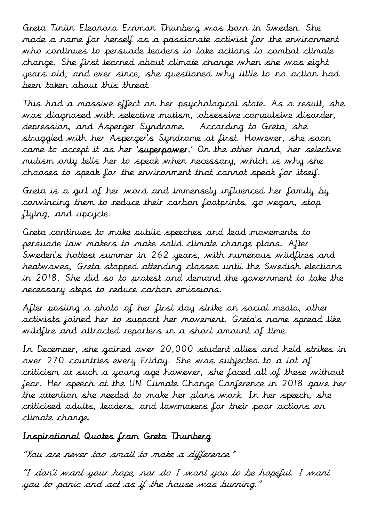Greta Tintin Eleonora Ernman Thunberg was born in Sweden. She made a name for herself as a passionate activist for the environment who continues to persuade leaders to take actions to combat climate change. She first learned about climate change when she was eight years old, and ever since, she questioned why little to no action had been taken about this threat.

This had a massive effect on her psychological state. As a result, she was diagnosed with selective mutism, obsessive-compulsive disorder, depression, and Asperger Syndrome. According to Greta, she struggled with her Asperger's Syndrome at first. However, she soon came to accept it as her 'superpower.' On the other hand, her selective mutism only tells her to speak when necessary, which is why she chooses to speak for the environment that cannot speak for itself.

Greta is a girl of her word and immensely influenced her family by convincing them to reduce their carbon footprints, go vegan, stop flying, and upcycle.

Greta continues to make public speeches and lead movements to persuade law makers to make solid climate change plans. After Sweden's hottest summer in 262 years, with numerous wildfires and heatwaves, Greta stopped attending classes until the Swedish elections in 2018. She did so to protest and demand the government to take the necessary steps to reduce carbon emissions.

After posting a photo of her first day strike on social media, other activists joined her to support her movement. Greta's name spread like wildfire and attracted reporters in a short amount of time.

In December, she gained over 20,000 student allies and held strikes in over 270 countries every Friday. She was subjected to a lot of criticism at such a young age however, she faced all of these without fear. Her speech at the UN Climate Change Conference in 2018 gave her the attention she needed to make her plans work. In her speech, she criticised adults, leaders, and lawmakers for their poor actions on climate change.

## Inspirational Quotes from Greta Thunberg

"You are never too small to make a difference."

"I don't want your hope, nor do I want you to be hopeful. I want you to panic and act as if the house was burning."